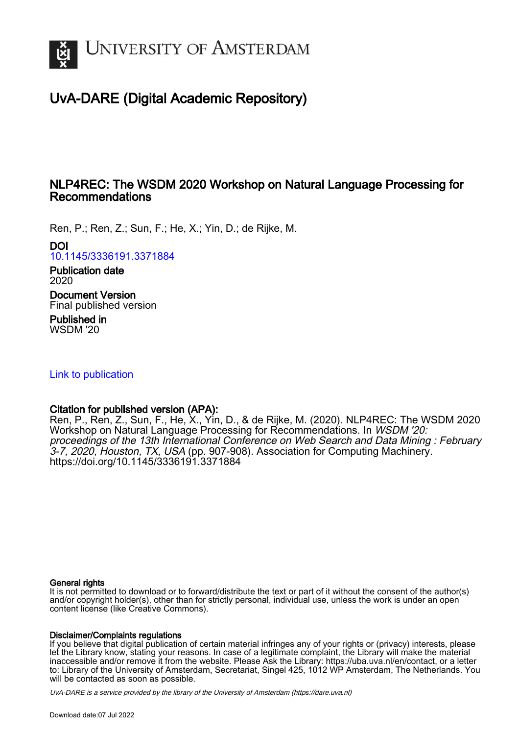

# UvA-DARE (Digital Academic Repository)

### NLP4REC: The WSDM 2020 Workshop on Natural Language Processing for Recommendations

Ren, P.; Ren, Z.; Sun, F.; He, X.; Yin, D.; de Rijke, M.

DOI

[10.1145/3336191.3371884](https://doi.org/10.1145/3336191.3371884)

Publication date 2020

Document Version Final published version

Published in WSDM '20

[Link to publication](https://dare.uva.nl/personal/pure/en/publications/nlp4rec-the-wsdm-2020-workshop-on-natural-language-processing-for-recommendations(1234b439-eb53-4744-ac45-bddef1062260).html)

### Citation for published version (APA):

Ren, P., Ren, Z., Sun, F., He, X., Yin, D., & de Rijke, M. (2020). NLP4REC: The WSDM 2020 Workshop on Natural Language Processing for Recommendations. In WSDM '20: proceedings of the 13th International Conference on Web Search and Data Mining : February 3-7, 2020, Houston, TX, USA (pp. 907-908). Association for Computing Machinery. <https://doi.org/10.1145/3336191.3371884>

#### General rights

It is not permitted to download or to forward/distribute the text or part of it without the consent of the author(s) and/or copyright holder(s), other than for strictly personal, individual use, unless the work is under an open content license (like Creative Commons).

#### Disclaimer/Complaints regulations

If you believe that digital publication of certain material infringes any of your rights or (privacy) interests, please let the Library know, stating your reasons. In case of a legitimate complaint, the Library will make the material inaccessible and/or remove it from the website. Please Ask the Library: https://uba.uva.nl/en/contact, or a letter to: Library of the University of Amsterdam, Secretariat, Singel 425, 1012 WP Amsterdam, The Netherlands. You will be contacted as soon as possible.

UvA-DARE is a service provided by the library of the University of Amsterdam (http*s*://dare.uva.nl)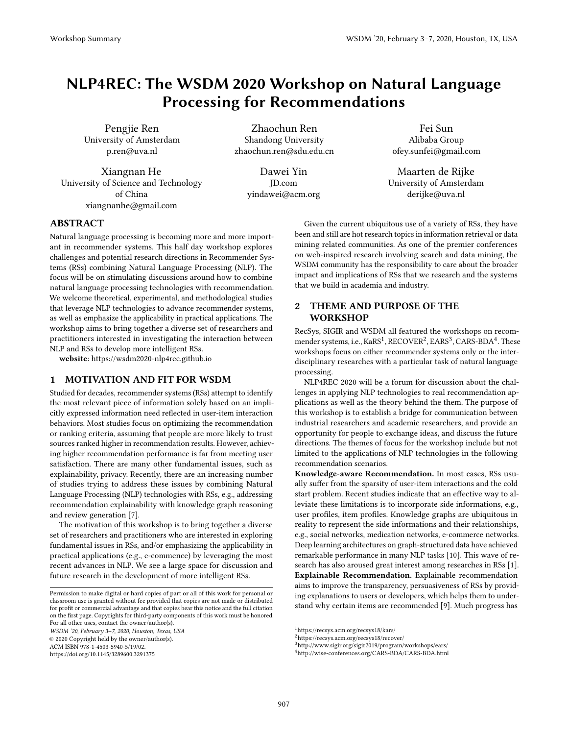## NLP4REC: The WSDM 2020 Workshop on Natural Language Processing for Recommendations

Pengjie Ren University of Amsterdam p.ren@uva.nl

Xiangnan He University of Science and Technology of China xiangnanhe@gmail.com

Zhaochun Ren Shandong University zhaochun.ren@sdu.edu.cn

> Dawei Yin JD.com yindawei@acm.org

Fei Sun Alibaba Group ofey.sunfei@gmail.com

Maarten de Rijke University of Amsterdam derijke@uva.nl

#### ABSTRACT

Natural language processing is becoming more and more important in recommender systems. This half day workshop explores challenges and potential research directions in Recommender Systems (RSs) combining Natural Language Processing (NLP). The focus will be on stimulating discussions around how to combine natural language processing technologies with recommendation. We welcome theoretical, experimental, and methodological studies that leverage NLP technologies to advance recommender systems, as well as emphasize the applicability in practical applications. The workshop aims to bring together a diverse set of researchers and practitioners interested in investigating the interaction between NLP and RSs to develop more intelligent RSs.

website: https://wsdm2020-nlp4rec.github.io

#### 1 MOTIVATION AND FIT FOR WSDM

Studied for decades, recommender systems (RSs) attempt to identify the most relevant piece of information solely based on an implicitly expressed information need reflected in user-item interaction behaviors. Most studies focus on optimizing the recommendation or ranking criteria, assuming that people are more likely to trust sources ranked higher in recommendation results. However, achieving higher recommendation performance is far from meeting user satisfaction. There are many other fundamental issues, such as explainability, privacy. Recently, there are an increasing number of studies trying to address these issues by combining Natural Language Processing (NLP) technologies with RSs, e.g., addressing recommendation explainability with knowledge graph reasoning and review generation [\[7\]](#page-2-0).

The motivation of this workshop is to bring together a diverse set of researchers and practitioners who are interested in exploring fundamental issues in RSs, and/or emphasizing the applicability in practical applications (e.g., e-commence) by leveraging the most recent advances in NLP. We see a large space for discussion and future research in the development of more intelligent RSs.

WSDM '20, February 3–7, 2020, Houston, Texas, USA

© 2020 Copyright held by the owner/author(s).

<https://doi.org/10.1145/3289600.3291375>

Given the current ubiquitous use of a variety of RSs, they have been and still are hot research topics in information retrieval or data mining related communities. As one of the premier conferences on web-inspired research involving search and data mining, the WSDM community has the responsibility to care about the broader impact and implications of RSs that we research and the systems that we build in academia and industry.

#### 2 THEME AND PURPOSE OF THE WORKSHOP

RecSys, SIGIR and WSDM all featured the workshops on recommender systems, i.e.,  $\text{KaRS}^1, \text{RECOVER}^2, \text{EARS}^3, \text{CARS-BDA}^4$  $\text{KaRS}^1, \text{RECOVER}^2, \text{EARS}^3, \text{CARS-BDA}^4$  $\text{KaRS}^1, \text{RECOVER}^2, \text{EARS}^3, \text{CARS-BDA}^4$  $\text{KaRS}^1, \text{RECOVER}^2, \text{EARS}^3, \text{CARS-BDA}^4$  $\text{KaRS}^1, \text{RECOVER}^2, \text{EARS}^3, \text{CARS-BDA}^4$  $\text{KaRS}^1, \text{RECOVER}^2, \text{EARS}^3, \text{CARS-BDA}^4$  $\text{KaRS}^1, \text{RECOVER}^2, \text{EARS}^3, \text{CARS-BDA}^4$  $\text{KaRS}^1, \text{RECOVER}^2, \text{EARS}^3, \text{CARS-BDA}^4$  . These workshops focus on either recommender systems only or the interdisciplinary researches with a particular task of natural language processing.

NLP4REC 2020 will be a forum for discussion about the challenges in applying NLP technologies to real recommendation applications as well as the theory behind the them. The purpose of this workshop is to establish a bridge for communication between industrial researchers and academic researchers, and provide an opportunity for people to exchange ideas, and discuss the future directions. The themes of focus for the workshop include but not limited to the applications of NLP technologies in the following recommendation scenarios.

Knowledge-aware Recommendation. In most cases, RSs usually suffer from the sparsity of user-item interactions and the cold start problem. Recent studies indicate that an effective way to alleviate these limitations is to incorporate side informations, e.g., user profiles, item profiles. Knowledge graphs are ubiquitous in reality to represent the side informations and their relationships, e.g., social networks, medication networks, e-commerce networks. Deep learning architectures on graph-structured data have achieved remarkable performance in many NLP tasks [\[10\]](#page-2-1). This wave of research has also aroused great interest among researches in RSs [\[1\]](#page-2-2). Explainable Recommendation. Explainable recommendation aims to improve the transparency, persuasiveness of RSs by providing explanations to users or developers, which helps them to understand why certain items are recommended [\[9\]](#page-2-3). Much progress has

Permission to make digital or hard copies of part or all of this work for personal or classroom use is granted without fee provided that copies are not made or distributed for profit or commercial advantage and that copies bear this notice and the full citation on the first page. Copyrights for third-party components of this work must be honored. For all other uses, contact the owner/author(s).

ACM ISBN 978-1-4503-5940-5/19/02.

<span id="page-1-0"></span><sup>1</sup>https://recsys.acm.org/recsys18/kars/

<span id="page-1-1"></span><sup>2</sup>https://recsys.acm.org/recsys18/recover/

<span id="page-1-2"></span><sup>3</sup>http://www.sigir.org/sigir2019/program/workshops/ears/

<span id="page-1-3"></span><sup>4</sup>http://wise-conferences.org/CARS-BDA/CARS-BDA.html